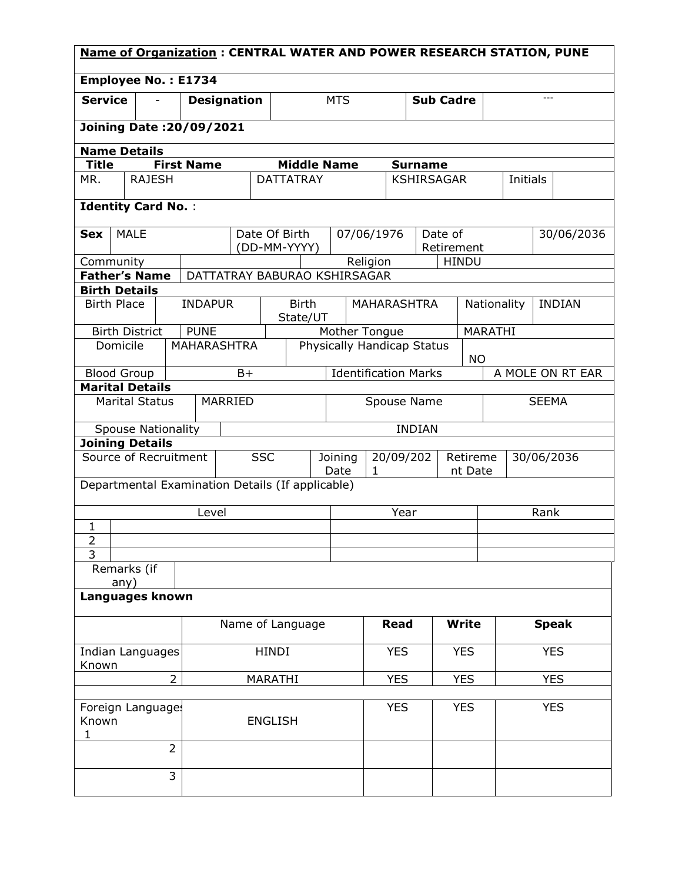| <b>Name of Organization: CENTRAL WATER AND POWER RESEARCH STATION, PUNE</b> |                                                  |                |                    |                    |                |                              |                                         |                                   |          |                    |                |                       |                |                              |                |                  |
|-----------------------------------------------------------------------------|--------------------------------------------------|----------------|--------------------|--------------------|----------------|------------------------------|-----------------------------------------|-----------------------------------|----------|--------------------|----------------|-----------------------|----------------|------------------------------|----------------|------------------|
|                                                                             | <b>Employee No.: E1734</b>                       |                |                    |                    |                |                              |                                         |                                   |          |                    |                |                       |                |                              |                |                  |
| <b>Service</b>                                                              |                                                  | $\overline{a}$ |                    | <b>Designation</b> |                |                              |                                         | <b>MTS</b>                        |          |                    |                | <b>Sub Cadre</b>      |                |                              | $\overline{a}$ |                  |
|                                                                             | <b>Joining Date: 20/09/2021</b>                  |                |                    |                    |                |                              |                                         |                                   |          |                    |                |                       |                |                              |                |                  |
|                                                                             | <b>Name Details</b>                              |                |                    |                    |                |                              |                                         |                                   |          |                    |                |                       |                |                              |                |                  |
| <b>Title</b>                                                                |                                                  |                | <b>First Name</b>  |                    |                | <b>Middle Name</b>           |                                         |                                   |          |                    | <b>Surname</b> |                       |                |                              |                |                  |
| <b>RAJESH</b><br><b>DATTATRAY</b><br><b>KSHIRSAGAR</b><br>MR.<br>Initials   |                                                  |                |                    |                    |                |                              |                                         |                                   |          |                    |                |                       |                |                              |                |                  |
|                                                                             | <b>Identity Card No.:</b>                        |                |                    |                    |                |                              |                                         |                                   |          |                    |                |                       |                |                              |                |                  |
| Sex                                                                         | <b>MALE</b>                                      |                |                    |                    |                | Date Of Birth                |                                         | 07/06/1976                        |          |                    |                | Date of               |                |                              |                | 30/06/2036       |
|                                                                             |                                                  |                |                    |                    |                | (DD-MM-YYYY)                 |                                         |                                   |          |                    |                | Retirement            |                |                              |                |                  |
|                                                                             | Community                                        |                |                    |                    |                |                              |                                         |                                   | Religion |                    |                | <b>HINDU</b>          |                |                              |                |                  |
|                                                                             | <b>Father's Name</b>                             |                |                    |                    |                | DATTATRAY BABURAO KSHIRSAGAR |                                         |                                   |          |                    |                |                       |                |                              |                |                  |
|                                                                             | <b>Birth Details</b>                             |                |                    |                    |                |                              |                                         |                                   |          |                    |                |                       |                |                              |                |                  |
|                                                                             | <b>Birth Place</b>                               |                | <b>INDAPUR</b>     |                    |                | <b>Birth</b><br>State/UT     |                                         |                                   |          | <b>MAHARASHTRA</b> |                |                       |                | Nationality<br><b>INDIAN</b> |                |                  |
|                                                                             | <b>Birth District</b>                            |                | <b>PUNE</b>        |                    |                |                              |                                         | Mother Tongue                     |          |                    |                |                       | <b>MARATHI</b> |                              |                |                  |
|                                                                             | Domicile                                         |                | <b>MAHARASHTRA</b> |                    |                |                              | Physically Handicap Status<br><b>NO</b> |                                   |          |                    |                |                       |                |                              |                |                  |
|                                                                             | <b>Blood Group</b>                               |                |                    | $B+$               |                | <b>Identification Marks</b>  |                                         |                                   |          |                    |                |                       |                |                              |                | A MOLE ON RT EAR |
|                                                                             | <b>Marital Details</b>                           |                |                    |                    |                |                              |                                         |                                   |          |                    |                |                       |                |                              |                |                  |
|                                                                             | <b>Marital Status</b>                            |                |                    | MARRIED            |                |                              |                                         |                                   |          | Spouse Name        |                |                       |                |                              | <b>SEEMA</b>   |                  |
|                                                                             | <b>Spouse Nationality</b>                        |                |                    |                    |                |                              |                                         |                                   |          |                    | <b>INDIAN</b>  |                       |                |                              |                |                  |
|                                                                             | <b>Joining Details</b><br>Source of Recruitment  |                |                    |                    |                |                              |                                         |                                   |          |                    |                |                       |                |                              |                |                  |
|                                                                             |                                                  |                |                    |                    | <b>SSC</b>     |                              |                                         | Joining<br>20/09/202<br>Date<br>1 |          |                    | Retireme       | 30/06/2036<br>nt Date |                |                              |                |                  |
|                                                                             | Departmental Examination Details (If applicable) |                |                    |                    |                |                              |                                         |                                   |          |                    |                |                       |                |                              |                |                  |
|                                                                             |                                                  |                | Level              |                    |                |                              |                                         |                                   |          | Year               |                |                       | Rank           |                              |                |                  |
| 1                                                                           |                                                  |                |                    |                    |                |                              |                                         |                                   |          |                    |                |                       |                |                              |                |                  |
| $\overline{2}$                                                              |                                                  |                |                    |                    |                |                              |                                         |                                   |          |                    |                |                       |                |                              |                |                  |
| 3                                                                           |                                                  |                |                    |                    |                |                              |                                         |                                   |          |                    |                |                       |                |                              |                |                  |
|                                                                             | Remarks (if<br>any)                              |                |                    |                    |                |                              |                                         |                                   |          |                    |                |                       |                |                              |                |                  |
|                                                                             | Languages known                                  |                |                    |                    |                |                              |                                         |                                   |          |                    |                |                       |                |                              |                |                  |
| Name of Language                                                            |                                                  |                |                    |                    |                |                              | <b>Read</b>                             |                                   | Write    |                    | <b>Speak</b>   |                       |                |                              |                |                  |
| Indian Languages                                                            |                                                  |                |                    |                    |                | <b>HINDI</b>                 |                                         |                                   |          | <b>YES</b>         |                | <b>YES</b>            |                | <b>YES</b>                   |                |                  |
| Known                                                                       |                                                  |                |                    |                    |                |                              |                                         |                                   |          |                    |                |                       |                |                              |                |                  |
| $\overline{2}$<br><b>YES</b><br><b>YES</b><br><b>YES</b><br>MARATHI         |                                                  |                |                    |                    |                |                              |                                         |                                   |          |                    |                |                       |                |                              |                |                  |
| Known                                                                       | Foreign Languages                                |                |                    |                    | <b>ENGLISH</b> |                              |                                         | <b>YES</b>                        |          | <b>YES</b>         |                |                       | <b>YES</b>     |                              |                |                  |
| 1                                                                           |                                                  | $\overline{2}$ |                    |                    |                |                              |                                         |                                   |          |                    |                |                       |                |                              |                |                  |
|                                                                             |                                                  |                |                    |                    |                |                              |                                         |                                   |          |                    |                |                       |                |                              |                |                  |
|                                                                             |                                                  | 3              |                    |                    |                |                              |                                         |                                   |          |                    |                |                       |                |                              |                |                  |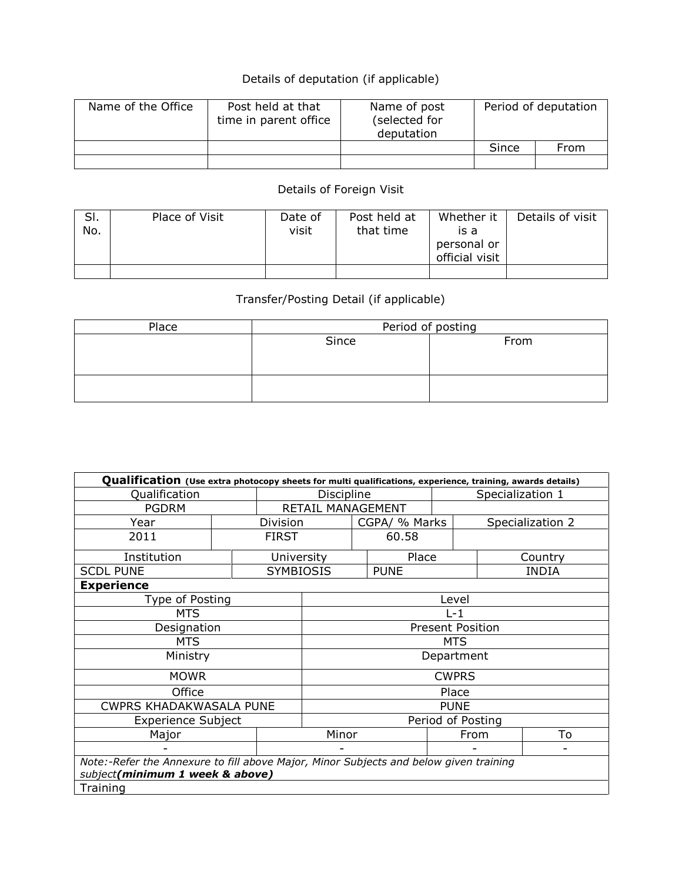## Details of deputation (if applicable)

| Name of the Office | Post held at that<br>time in parent office | Name of post<br>(selected for<br>deputation | Period of deputation |      |  |
|--------------------|--------------------------------------------|---------------------------------------------|----------------------|------|--|
|                    |                                            |                                             | Since                | From |  |
|                    |                                            |                                             |                      |      |  |

## Details of Foreign Visit

| SI.<br>No. | Place of Visit | Date of<br>visit | Post held at<br>that time | Whether it<br>is a<br>personal or<br>official visit | Details of visit |
|------------|----------------|------------------|---------------------------|-----------------------------------------------------|------------------|
|            |                |                  |                           |                                                     |                  |

## Transfer/Posting Detail (if applicable)

| Place | Period of posting |      |  |  |  |  |  |  |
|-------|-------------------|------|--|--|--|--|--|--|
|       | Since             | From |  |  |  |  |  |  |
|       |                   |      |  |  |  |  |  |  |
|       |                   |      |  |  |  |  |  |  |
|       |                   |      |  |  |  |  |  |  |
|       |                   |      |  |  |  |  |  |  |

| Qualification (Use extra photocopy sheets for multi qualifications, experience, training, awards details)                |       |                   |                   |       |               |                         |                  |                  |  |  |
|--------------------------------------------------------------------------------------------------------------------------|-------|-------------------|-------------------|-------|---------------|-------------------------|------------------|------------------|--|--|
| Qualification                                                                                                            |       | Discipline        |                   |       |               |                         | Specialization 1 |                  |  |  |
| <b>PGDRM</b>                                                                                                             |       | RETAIL MANAGEMENT |                   |       |               |                         |                  |                  |  |  |
| Year                                                                                                                     |       | Division          |                   |       | CGPA/ % Marks |                         |                  | Specialization 2 |  |  |
| 2011                                                                                                                     |       | <b>FIRST</b>      |                   | 60.58 |               |                         |                  |                  |  |  |
| Institution                                                                                                              |       | University        |                   |       | Place         |                         |                  | Country          |  |  |
| <b>SCDL PUNE</b>                                                                                                         |       | <b>SYMBIOSIS</b>  |                   |       | <b>PUNE</b>   |                         |                  | <b>INDIA</b>     |  |  |
| <b>Experience</b>                                                                                                        |       |                   |                   |       |               |                         |                  |                  |  |  |
| Type of Posting                                                                                                          |       |                   |                   |       |               | Level                   |                  |                  |  |  |
| <b>MTS</b>                                                                                                               |       |                   |                   |       |               | $L-1$                   |                  |                  |  |  |
| Designation                                                                                                              |       |                   |                   |       |               | <b>Present Position</b> |                  |                  |  |  |
| <b>MTS</b>                                                                                                               |       |                   | <b>MTS</b>        |       |               |                         |                  |                  |  |  |
| Ministry                                                                                                                 |       |                   | Department        |       |               |                         |                  |                  |  |  |
| <b>MOWR</b>                                                                                                              |       |                   | <b>CWPRS</b>      |       |               |                         |                  |                  |  |  |
| Office                                                                                                                   |       |                   | Place             |       |               |                         |                  |                  |  |  |
| <b>CWPRS KHADAKWASALA PUNE</b>                                                                                           |       |                   | <b>PUNE</b>       |       |               |                         |                  |                  |  |  |
| <b>Experience Subject</b>                                                                                                |       |                   | Period of Posting |       |               |                         |                  |                  |  |  |
| Major                                                                                                                    | Minor |                   |                   |       | To<br>From    |                         |                  |                  |  |  |
|                                                                                                                          |       |                   |                   |       |               |                         |                  |                  |  |  |
| Note:-Refer the Annexure to fill above Major, Minor Subjects and below given training<br>subject(minimum 1 week & above) |       |                   |                   |       |               |                         |                  |                  |  |  |
| Training                                                                                                                 |       |                   |                   |       |               |                         |                  |                  |  |  |